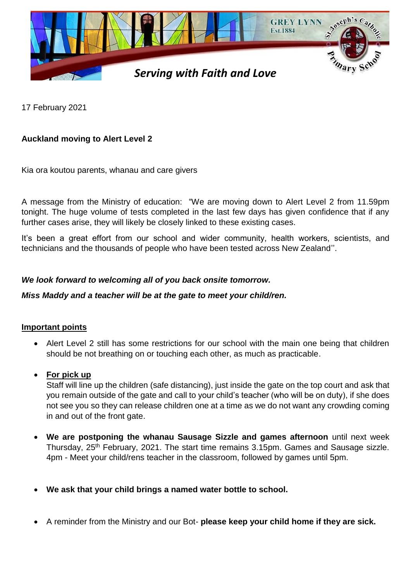

17 February 2021

# **Auckland moving to Alert Level 2**

Kia ora koutou parents, whanau and care givers

A message from the Ministry of education: "We are moving down to Alert Level 2 from 11.59pm tonight. The huge volume of tests completed in the last few days has given confidence that if any further cases arise, they will likely be closely linked to these existing cases.

It's been a great effort from our school and wider community, health workers, scientists, and technicians and the thousands of people who have been tested across New Zealand''.

## *We look forward to welcoming all of you back onsite tomorrow.*

#### *Miss Maddy and a teacher will be at the gate to meet your child/ren.*

#### **Important points**

• Alert Level 2 still has some restrictions for our school with the main one being that children should be not breathing on or touching each other, as much as practicable.

#### **For pick up**

Staff will line up the children (safe distancing), just inside the gate on the top court and ask that you remain outside of the gate and call to your child's teacher (who will be on duty), if she does not see you so they can release children one at a time as we do not want any crowding coming in and out of the front gate.

- **We are postponing the whanau Sausage Sizzle and games afternoon** until next week Thursday, 25<sup>th</sup> February, 2021. The start time remains 3.15pm. Games and Sausage sizzle. 4pm - Meet your child/rens teacher in the classroom, followed by games until 5pm.
- **We ask that your child brings a named water bottle to school.**
- A reminder from the Ministry and our Bot- **please keep your child home if they are sick.**